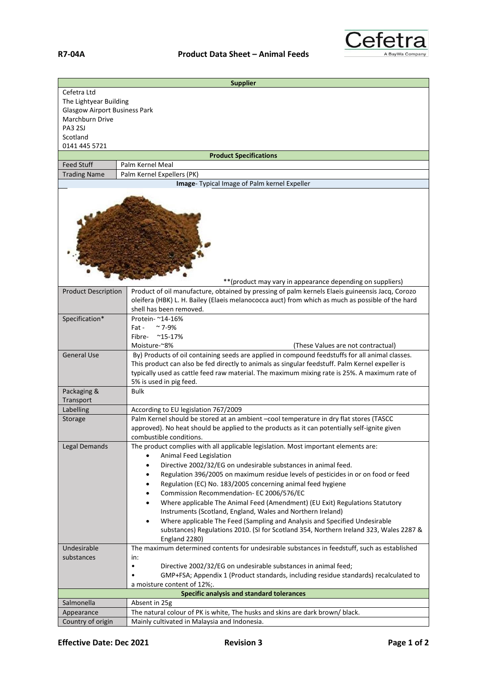

| Cefetra Ltd<br>The Lightyear Building<br><b>Glasgow Airport Business Park</b><br>Marchburn Drive<br><b>PA3 2SJ</b><br>Scotland<br>0141 445 5721<br><b>Product Specifications</b><br><b>Feed Stuff</b><br>Palm Kernel Meal<br><b>Trading Name</b><br>Palm Kernel Expellers (PK)<br>Image- Typical Image of Palm kernel Expeller<br>** (product may vary in appearance depending on suppliers)<br>Product of oil manufacture, obtained by pressing of palm kernels Elaeis guineensis Jacq, Corozo<br><b>Product Description</b><br>oleifera (HBK) L. H. Bailey (Elaeis melanococca auct) from which as much as possible of the hard<br>shell has been removed.<br>Specification*<br>Protein- ~14-16%<br>$~\sim$ 7-9%<br>Fat -<br>$^{\sim}$ 15-17%<br>Fibre-<br>Moisture-~8%<br>(These Values are not contractual)<br><b>General Use</b><br>By) Products of oil containing seeds are applied in compound feedstuffs for all animal classes.<br>This product can also be fed directly to animals as singular feedstuff. Palm Kernel expeller is<br>typically used as cattle feed raw material. The maximum mixing rate is 25%. A maximum rate of<br>5% is used in pig feed.<br><b>Bulk</b><br>Packaging &<br>Transport<br>Labelling<br>According to EU legislation 767/2009<br>Palm Kernel should be stored at an ambient -cool temperature in dry flat stores (TASCC<br>Storage<br>approved). No heat should be applied to the products as it can potentially self-ignite given<br>combustible conditions.<br>Legal Demands<br>The product complies with all applicable legislation. Most important elements are:<br>Animal Feed Legislation<br>Directive 2002/32/EG on undesirable substances in animal feed.<br>$\bullet$<br>Regulation 396/2005 on maximum residue levels of pesticides in or on food or feed<br>$\bullet$<br>Regulation (EC) No. 183/2005 concerning animal feed hygiene<br>$\bullet$<br>Commission Recommendation- EC 2006/576/EC<br>٠<br>Where applicable The Animal Feed (Amendment) (EU Exit) Regulations Statutory<br>$\bullet$<br>Instruments (Scotland, England, Wales and Northern Ireland)<br>Where applicable The Feed (Sampling and Analysis and Specified Undesirable<br>$\bullet$<br>substances) Regulations 2010. (SI for Scotland 354, Northern Ireland 323, Wales 2287 &<br>England 2280)<br>The maximum determined contents for undesirable substances in feedstuff, such as established<br>Undesirable<br>substances<br>in:<br>Directive 2002/32/EG on undesirable substances in animal feed;<br>$\bullet$<br>GMP+FSA; Appendix 1 (Product standards, including residue standards) recalculated to<br>a moisture content of 12%;.<br>Specific analysis and standard tolerances<br>Salmonella<br>Absent in 25g | <b>Supplier</b> |  |  |
|--------------------------------------------------------------------------------------------------------------------------------------------------------------------------------------------------------------------------------------------------------------------------------------------------------------------------------------------------------------------------------------------------------------------------------------------------------------------------------------------------------------------------------------------------------------------------------------------------------------------------------------------------------------------------------------------------------------------------------------------------------------------------------------------------------------------------------------------------------------------------------------------------------------------------------------------------------------------------------------------------------------------------------------------------------------------------------------------------------------------------------------------------------------------------------------------------------------------------------------------------------------------------------------------------------------------------------------------------------------------------------------------------------------------------------------------------------------------------------------------------------------------------------------------------------------------------------------------------------------------------------------------------------------------------------------------------------------------------------------------------------------------------------------------------------------------------------------------------------------------------------------------------------------------------------------------------------------------------------------------------------------------------------------------------------------------------------------------------------------------------------------------------------------------------------------------------------------------------------------------------------------------------------------------------------------------------------------------------------------------------------------------------------------------------------------------------------------------------------------------------------------------------------------------------------------------------------------------------------------------------------------------------------------------------------------------------------------------------------------------------|-----------------|--|--|
|                                                                                                                                                                                                                                                                                                                                                                                                                                                                                                                                                                                                                                                                                                                                                                                                                                                                                                                                                                                                                                                                                                                                                                                                                                                                                                                                                                                                                                                                                                                                                                                                                                                                                                                                                                                                                                                                                                                                                                                                                                                                                                                                                                                                                                                                                                                                                                                                                                                                                                                                                                                                                                                                                                                                                  |                 |  |  |
|                                                                                                                                                                                                                                                                                                                                                                                                                                                                                                                                                                                                                                                                                                                                                                                                                                                                                                                                                                                                                                                                                                                                                                                                                                                                                                                                                                                                                                                                                                                                                                                                                                                                                                                                                                                                                                                                                                                                                                                                                                                                                                                                                                                                                                                                                                                                                                                                                                                                                                                                                                                                                                                                                                                                                  |                 |  |  |
|                                                                                                                                                                                                                                                                                                                                                                                                                                                                                                                                                                                                                                                                                                                                                                                                                                                                                                                                                                                                                                                                                                                                                                                                                                                                                                                                                                                                                                                                                                                                                                                                                                                                                                                                                                                                                                                                                                                                                                                                                                                                                                                                                                                                                                                                                                                                                                                                                                                                                                                                                                                                                                                                                                                                                  |                 |  |  |
|                                                                                                                                                                                                                                                                                                                                                                                                                                                                                                                                                                                                                                                                                                                                                                                                                                                                                                                                                                                                                                                                                                                                                                                                                                                                                                                                                                                                                                                                                                                                                                                                                                                                                                                                                                                                                                                                                                                                                                                                                                                                                                                                                                                                                                                                                                                                                                                                                                                                                                                                                                                                                                                                                                                                                  |                 |  |  |
|                                                                                                                                                                                                                                                                                                                                                                                                                                                                                                                                                                                                                                                                                                                                                                                                                                                                                                                                                                                                                                                                                                                                                                                                                                                                                                                                                                                                                                                                                                                                                                                                                                                                                                                                                                                                                                                                                                                                                                                                                                                                                                                                                                                                                                                                                                                                                                                                                                                                                                                                                                                                                                                                                                                                                  |                 |  |  |
|                                                                                                                                                                                                                                                                                                                                                                                                                                                                                                                                                                                                                                                                                                                                                                                                                                                                                                                                                                                                                                                                                                                                                                                                                                                                                                                                                                                                                                                                                                                                                                                                                                                                                                                                                                                                                                                                                                                                                                                                                                                                                                                                                                                                                                                                                                                                                                                                                                                                                                                                                                                                                                                                                                                                                  |                 |  |  |
|                                                                                                                                                                                                                                                                                                                                                                                                                                                                                                                                                                                                                                                                                                                                                                                                                                                                                                                                                                                                                                                                                                                                                                                                                                                                                                                                                                                                                                                                                                                                                                                                                                                                                                                                                                                                                                                                                                                                                                                                                                                                                                                                                                                                                                                                                                                                                                                                                                                                                                                                                                                                                                                                                                                                                  |                 |  |  |
|                                                                                                                                                                                                                                                                                                                                                                                                                                                                                                                                                                                                                                                                                                                                                                                                                                                                                                                                                                                                                                                                                                                                                                                                                                                                                                                                                                                                                                                                                                                                                                                                                                                                                                                                                                                                                                                                                                                                                                                                                                                                                                                                                                                                                                                                                                                                                                                                                                                                                                                                                                                                                                                                                                                                                  |                 |  |  |
|                                                                                                                                                                                                                                                                                                                                                                                                                                                                                                                                                                                                                                                                                                                                                                                                                                                                                                                                                                                                                                                                                                                                                                                                                                                                                                                                                                                                                                                                                                                                                                                                                                                                                                                                                                                                                                                                                                                                                                                                                                                                                                                                                                                                                                                                                                                                                                                                                                                                                                                                                                                                                                                                                                                                                  |                 |  |  |
|                                                                                                                                                                                                                                                                                                                                                                                                                                                                                                                                                                                                                                                                                                                                                                                                                                                                                                                                                                                                                                                                                                                                                                                                                                                                                                                                                                                                                                                                                                                                                                                                                                                                                                                                                                                                                                                                                                                                                                                                                                                                                                                                                                                                                                                                                                                                                                                                                                                                                                                                                                                                                                                                                                                                                  |                 |  |  |
|                                                                                                                                                                                                                                                                                                                                                                                                                                                                                                                                                                                                                                                                                                                                                                                                                                                                                                                                                                                                                                                                                                                                                                                                                                                                                                                                                                                                                                                                                                                                                                                                                                                                                                                                                                                                                                                                                                                                                                                                                                                                                                                                                                                                                                                                                                                                                                                                                                                                                                                                                                                                                                                                                                                                                  |                 |  |  |
|                                                                                                                                                                                                                                                                                                                                                                                                                                                                                                                                                                                                                                                                                                                                                                                                                                                                                                                                                                                                                                                                                                                                                                                                                                                                                                                                                                                                                                                                                                                                                                                                                                                                                                                                                                                                                                                                                                                                                                                                                                                                                                                                                                                                                                                                                                                                                                                                                                                                                                                                                                                                                                                                                                                                                  |                 |  |  |
|                                                                                                                                                                                                                                                                                                                                                                                                                                                                                                                                                                                                                                                                                                                                                                                                                                                                                                                                                                                                                                                                                                                                                                                                                                                                                                                                                                                                                                                                                                                                                                                                                                                                                                                                                                                                                                                                                                                                                                                                                                                                                                                                                                                                                                                                                                                                                                                                                                                                                                                                                                                                                                                                                                                                                  |                 |  |  |
|                                                                                                                                                                                                                                                                                                                                                                                                                                                                                                                                                                                                                                                                                                                                                                                                                                                                                                                                                                                                                                                                                                                                                                                                                                                                                                                                                                                                                                                                                                                                                                                                                                                                                                                                                                                                                                                                                                                                                                                                                                                                                                                                                                                                                                                                                                                                                                                                                                                                                                                                                                                                                                                                                                                                                  |                 |  |  |
|                                                                                                                                                                                                                                                                                                                                                                                                                                                                                                                                                                                                                                                                                                                                                                                                                                                                                                                                                                                                                                                                                                                                                                                                                                                                                                                                                                                                                                                                                                                                                                                                                                                                                                                                                                                                                                                                                                                                                                                                                                                                                                                                                                                                                                                                                                                                                                                                                                                                                                                                                                                                                                                                                                                                                  |                 |  |  |
|                                                                                                                                                                                                                                                                                                                                                                                                                                                                                                                                                                                                                                                                                                                                                                                                                                                                                                                                                                                                                                                                                                                                                                                                                                                                                                                                                                                                                                                                                                                                                                                                                                                                                                                                                                                                                                                                                                                                                                                                                                                                                                                                                                                                                                                                                                                                                                                                                                                                                                                                                                                                                                                                                                                                                  |                 |  |  |
|                                                                                                                                                                                                                                                                                                                                                                                                                                                                                                                                                                                                                                                                                                                                                                                                                                                                                                                                                                                                                                                                                                                                                                                                                                                                                                                                                                                                                                                                                                                                                                                                                                                                                                                                                                                                                                                                                                                                                                                                                                                                                                                                                                                                                                                                                                                                                                                                                                                                                                                                                                                                                                                                                                                                                  |                 |  |  |
|                                                                                                                                                                                                                                                                                                                                                                                                                                                                                                                                                                                                                                                                                                                                                                                                                                                                                                                                                                                                                                                                                                                                                                                                                                                                                                                                                                                                                                                                                                                                                                                                                                                                                                                                                                                                                                                                                                                                                                                                                                                                                                                                                                                                                                                                                                                                                                                                                                                                                                                                                                                                                                                                                                                                                  |                 |  |  |
|                                                                                                                                                                                                                                                                                                                                                                                                                                                                                                                                                                                                                                                                                                                                                                                                                                                                                                                                                                                                                                                                                                                                                                                                                                                                                                                                                                                                                                                                                                                                                                                                                                                                                                                                                                                                                                                                                                                                                                                                                                                                                                                                                                                                                                                                                                                                                                                                                                                                                                                                                                                                                                                                                                                                                  |                 |  |  |
|                                                                                                                                                                                                                                                                                                                                                                                                                                                                                                                                                                                                                                                                                                                                                                                                                                                                                                                                                                                                                                                                                                                                                                                                                                                                                                                                                                                                                                                                                                                                                                                                                                                                                                                                                                                                                                                                                                                                                                                                                                                                                                                                                                                                                                                                                                                                                                                                                                                                                                                                                                                                                                                                                                                                                  |                 |  |  |
|                                                                                                                                                                                                                                                                                                                                                                                                                                                                                                                                                                                                                                                                                                                                                                                                                                                                                                                                                                                                                                                                                                                                                                                                                                                                                                                                                                                                                                                                                                                                                                                                                                                                                                                                                                                                                                                                                                                                                                                                                                                                                                                                                                                                                                                                                                                                                                                                                                                                                                                                                                                                                                                                                                                                                  |                 |  |  |
|                                                                                                                                                                                                                                                                                                                                                                                                                                                                                                                                                                                                                                                                                                                                                                                                                                                                                                                                                                                                                                                                                                                                                                                                                                                                                                                                                                                                                                                                                                                                                                                                                                                                                                                                                                                                                                                                                                                                                                                                                                                                                                                                                                                                                                                                                                                                                                                                                                                                                                                                                                                                                                                                                                                                                  |                 |  |  |
|                                                                                                                                                                                                                                                                                                                                                                                                                                                                                                                                                                                                                                                                                                                                                                                                                                                                                                                                                                                                                                                                                                                                                                                                                                                                                                                                                                                                                                                                                                                                                                                                                                                                                                                                                                                                                                                                                                                                                                                                                                                                                                                                                                                                                                                                                                                                                                                                                                                                                                                                                                                                                                                                                                                                                  |                 |  |  |
|                                                                                                                                                                                                                                                                                                                                                                                                                                                                                                                                                                                                                                                                                                                                                                                                                                                                                                                                                                                                                                                                                                                                                                                                                                                                                                                                                                                                                                                                                                                                                                                                                                                                                                                                                                                                                                                                                                                                                                                                                                                                                                                                                                                                                                                                                                                                                                                                                                                                                                                                                                                                                                                                                                                                                  |                 |  |  |
|                                                                                                                                                                                                                                                                                                                                                                                                                                                                                                                                                                                                                                                                                                                                                                                                                                                                                                                                                                                                                                                                                                                                                                                                                                                                                                                                                                                                                                                                                                                                                                                                                                                                                                                                                                                                                                                                                                                                                                                                                                                                                                                                                                                                                                                                                                                                                                                                                                                                                                                                                                                                                                                                                                                                                  |                 |  |  |
|                                                                                                                                                                                                                                                                                                                                                                                                                                                                                                                                                                                                                                                                                                                                                                                                                                                                                                                                                                                                                                                                                                                                                                                                                                                                                                                                                                                                                                                                                                                                                                                                                                                                                                                                                                                                                                                                                                                                                                                                                                                                                                                                                                                                                                                                                                                                                                                                                                                                                                                                                                                                                                                                                                                                                  |                 |  |  |
|                                                                                                                                                                                                                                                                                                                                                                                                                                                                                                                                                                                                                                                                                                                                                                                                                                                                                                                                                                                                                                                                                                                                                                                                                                                                                                                                                                                                                                                                                                                                                                                                                                                                                                                                                                                                                                                                                                                                                                                                                                                                                                                                                                                                                                                                                                                                                                                                                                                                                                                                                                                                                                                                                                                                                  |                 |  |  |
|                                                                                                                                                                                                                                                                                                                                                                                                                                                                                                                                                                                                                                                                                                                                                                                                                                                                                                                                                                                                                                                                                                                                                                                                                                                                                                                                                                                                                                                                                                                                                                                                                                                                                                                                                                                                                                                                                                                                                                                                                                                                                                                                                                                                                                                                                                                                                                                                                                                                                                                                                                                                                                                                                                                                                  |                 |  |  |
|                                                                                                                                                                                                                                                                                                                                                                                                                                                                                                                                                                                                                                                                                                                                                                                                                                                                                                                                                                                                                                                                                                                                                                                                                                                                                                                                                                                                                                                                                                                                                                                                                                                                                                                                                                                                                                                                                                                                                                                                                                                                                                                                                                                                                                                                                                                                                                                                                                                                                                                                                                                                                                                                                                                                                  |                 |  |  |
|                                                                                                                                                                                                                                                                                                                                                                                                                                                                                                                                                                                                                                                                                                                                                                                                                                                                                                                                                                                                                                                                                                                                                                                                                                                                                                                                                                                                                                                                                                                                                                                                                                                                                                                                                                                                                                                                                                                                                                                                                                                                                                                                                                                                                                                                                                                                                                                                                                                                                                                                                                                                                                                                                                                                                  |                 |  |  |
|                                                                                                                                                                                                                                                                                                                                                                                                                                                                                                                                                                                                                                                                                                                                                                                                                                                                                                                                                                                                                                                                                                                                                                                                                                                                                                                                                                                                                                                                                                                                                                                                                                                                                                                                                                                                                                                                                                                                                                                                                                                                                                                                                                                                                                                                                                                                                                                                                                                                                                                                                                                                                                                                                                                                                  |                 |  |  |
|                                                                                                                                                                                                                                                                                                                                                                                                                                                                                                                                                                                                                                                                                                                                                                                                                                                                                                                                                                                                                                                                                                                                                                                                                                                                                                                                                                                                                                                                                                                                                                                                                                                                                                                                                                                                                                                                                                                                                                                                                                                                                                                                                                                                                                                                                                                                                                                                                                                                                                                                                                                                                                                                                                                                                  |                 |  |  |
|                                                                                                                                                                                                                                                                                                                                                                                                                                                                                                                                                                                                                                                                                                                                                                                                                                                                                                                                                                                                                                                                                                                                                                                                                                                                                                                                                                                                                                                                                                                                                                                                                                                                                                                                                                                                                                                                                                                                                                                                                                                                                                                                                                                                                                                                                                                                                                                                                                                                                                                                                                                                                                                                                                                                                  |                 |  |  |
|                                                                                                                                                                                                                                                                                                                                                                                                                                                                                                                                                                                                                                                                                                                                                                                                                                                                                                                                                                                                                                                                                                                                                                                                                                                                                                                                                                                                                                                                                                                                                                                                                                                                                                                                                                                                                                                                                                                                                                                                                                                                                                                                                                                                                                                                                                                                                                                                                                                                                                                                                                                                                                                                                                                                                  |                 |  |  |
|                                                                                                                                                                                                                                                                                                                                                                                                                                                                                                                                                                                                                                                                                                                                                                                                                                                                                                                                                                                                                                                                                                                                                                                                                                                                                                                                                                                                                                                                                                                                                                                                                                                                                                                                                                                                                                                                                                                                                                                                                                                                                                                                                                                                                                                                                                                                                                                                                                                                                                                                                                                                                                                                                                                                                  |                 |  |  |
|                                                                                                                                                                                                                                                                                                                                                                                                                                                                                                                                                                                                                                                                                                                                                                                                                                                                                                                                                                                                                                                                                                                                                                                                                                                                                                                                                                                                                                                                                                                                                                                                                                                                                                                                                                                                                                                                                                                                                                                                                                                                                                                                                                                                                                                                                                                                                                                                                                                                                                                                                                                                                                                                                                                                                  |                 |  |  |
|                                                                                                                                                                                                                                                                                                                                                                                                                                                                                                                                                                                                                                                                                                                                                                                                                                                                                                                                                                                                                                                                                                                                                                                                                                                                                                                                                                                                                                                                                                                                                                                                                                                                                                                                                                                                                                                                                                                                                                                                                                                                                                                                                                                                                                                                                                                                                                                                                                                                                                                                                                                                                                                                                                                                                  |                 |  |  |
|                                                                                                                                                                                                                                                                                                                                                                                                                                                                                                                                                                                                                                                                                                                                                                                                                                                                                                                                                                                                                                                                                                                                                                                                                                                                                                                                                                                                                                                                                                                                                                                                                                                                                                                                                                                                                                                                                                                                                                                                                                                                                                                                                                                                                                                                                                                                                                                                                                                                                                                                                                                                                                                                                                                                                  |                 |  |  |
|                                                                                                                                                                                                                                                                                                                                                                                                                                                                                                                                                                                                                                                                                                                                                                                                                                                                                                                                                                                                                                                                                                                                                                                                                                                                                                                                                                                                                                                                                                                                                                                                                                                                                                                                                                                                                                                                                                                                                                                                                                                                                                                                                                                                                                                                                                                                                                                                                                                                                                                                                                                                                                                                                                                                                  |                 |  |  |
|                                                                                                                                                                                                                                                                                                                                                                                                                                                                                                                                                                                                                                                                                                                                                                                                                                                                                                                                                                                                                                                                                                                                                                                                                                                                                                                                                                                                                                                                                                                                                                                                                                                                                                                                                                                                                                                                                                                                                                                                                                                                                                                                                                                                                                                                                                                                                                                                                                                                                                                                                                                                                                                                                                                                                  |                 |  |  |
| The natural colour of PK is white, The husks and skins are dark brown/ black.                                                                                                                                                                                                                                                                                                                                                                                                                                                                                                                                                                                                                                                                                                                                                                                                                                                                                                                                                                                                                                                                                                                                                                                                                                                                                                                                                                                                                                                                                                                                                                                                                                                                                                                                                                                                                                                                                                                                                                                                                                                                                                                                                                                                                                                                                                                                                                                                                                                                                                                                                                                                                                                                    |                 |  |  |
| Appearance<br>Mainly cultivated in Malaysia and Indonesia.<br>Country of origin                                                                                                                                                                                                                                                                                                                                                                                                                                                                                                                                                                                                                                                                                                                                                                                                                                                                                                                                                                                                                                                                                                                                                                                                                                                                                                                                                                                                                                                                                                                                                                                                                                                                                                                                                                                                                                                                                                                                                                                                                                                                                                                                                                                                                                                                                                                                                                                                                                                                                                                                                                                                                                                                  |                 |  |  |